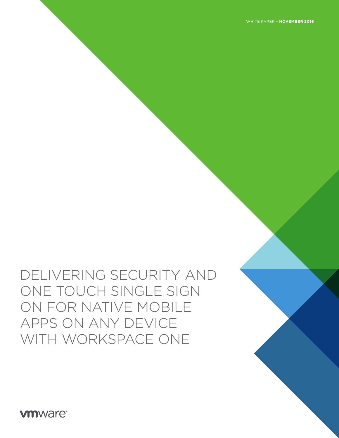**vm**ware<sup>®</sup>

# DELIVERING SECURITY AND ONE TOUCH SINGLE SIGN ON FOR NATIVE MOBILE APPS ON ANY DEVICE WITH WORKSPACE ONE

WHITE PAPER – **NOVEMBER 2016**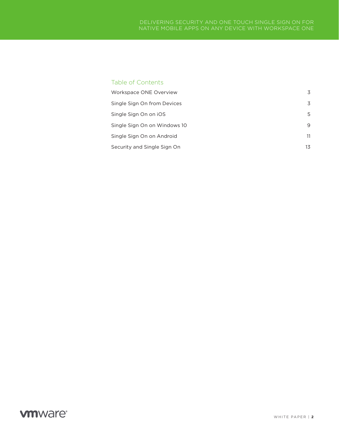### Table of Contents

| Workspace ONE Overview       | 3  |
|------------------------------|----|
| Single Sign On from Devices  | 3  |
| Single Sign On on iOS        | 5  |
| Single Sign On on Windows 10 | 9  |
| Single Sign On on Android    | 11 |
| Security and Single Sign On  | 13 |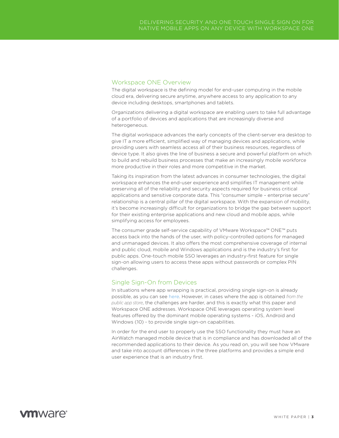### Workspace ONE Overview

The digital workspace is the defining model for end-user computing in the mobile cloud era, delivering secure anytime, anywhere access to any application to any device including desktops, smartphones and tablets.

Organizations delivering a digital workspace are enabling users to take full advantage of a portfolio of devices and applications that are increasingly diverse and heterogeneous.

The digital workspace advances the early concepts of the client-server era desktop to give IT a more efficient, simplified way of managing devices and applications, while providing users with seamless access all of their business resources, regardless of device type. It also gives the line of business a secure and powerful platform on which to build and rebuild business processes that make an increasingly mobile workforce more productive in their roles and more competitive in the market.

Taking its inspiration from the latest advances in consumer technologies, the digital workspace enhances the end-user experience and simplifies IT management while preserving all of the reliability and security aspects required for business critical applications and sensitive corporate data. This "consumer simple – enterprise secure" relationship is a central pillar of the digital workspace. With the expansion of mobility, it's become increasingly difficult for organizations to bridge the gap between support for their existing enterprise applications and new cloud and mobile apps, while simplifying access for employees.

The consumer grade self-service capability of VMware Workspace™ ONE™ puts access back into the hands of the user, with policy-controlled options for managed and unmanaged devices. It also offers the most comprehensive coverage of internal and public cloud, mobile and Windows applications and is the industry's first for public apps. One-touch mobile SSO leverages an industry-first feature for single sign-on allowing users to access these apps without passwords or complex PIN challenges.

### Single Sign-On from Devices

In situations where app wrapping is practical, providing single sign-on is already possible, as you can see [here.](http://blogs.air-watch.com/2015/10/byod-containerization-building-sustainable-mobile-strategy/#.WCnJ2Vc5n1-) However, in cases where the app is obtained *from the public app store*, the challenges are harder, and this is exactly what this paper and Workspace ONE addresses. Workspace ONE leverages operating system level features offered by the dominant mobile operating systems - iOS, Android and Windows (10) - to provide single sign-on capabilities.

In order for the end user to properly use the SSO functionality they must have an AirWatch managed mobile device that is in compliance and has downloaded all of the recommended applications to their device. As you read on, you will see how VMware and take into account differences in the three platforms and provides a simple end user experience that is an industry first.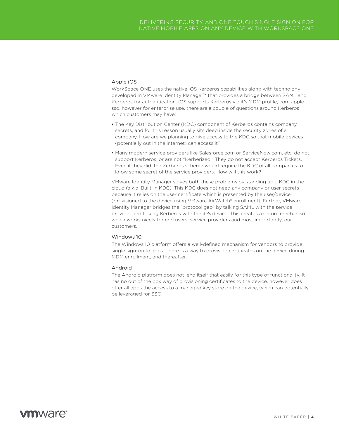#### Apple iOS

WorkSpace ONE uses the native iOS Kerberos capabilities along with technology developed in VMware Identity Manager™ that provides a bridge between SAML and Kerberos for authentication. iOS supports Kerberos via it's MDM profile, com.apple. sso, however for enterprise use, there are a couple of questions around Kerberos which customers may have:

- The Key Distribution Center (KDC) component of Kerberos contains company secrets, and for this reason usually sits deep inside the security zones of a company. How are we planning to give access to the KDC so that mobile devices (potentially out in the internet) can access it?
- Many modern service providers like Salesforce.com or ServiceNow.com, etc. do not support Kerberos, or are not "Kerberized." They do not accept Kerberos Tickets. Even if they did, the Kerberos scheme would require the KDC of all companies to know some secret of the service providers. How will this work?

VMware Identity Manager solves both these problems by standing up a KDC in the cloud (a.k.a. Built-In KDC). This KDC does not need any company or user secrets because it relies on the user certificate which is presented by the user/device (provisioned to the device using VMware AirWatch® enrollment). Further, VMware Identity Manager bridges the "protocol gap" by talking SAML with the service provider and talking Kerberos with the iOS device. This creates a secure mechanism which works nicely for end users, service providers and most importantly, our customers.

#### Windows 10

The Windows 10 platform offers a well-defined mechanism for vendors to provide single sign-on to apps. There is a way to provision certificates on the device during MDM enrollment, and thereafter.

#### Android

The Android platform does not lend itself that easily for this type of functionality. It has no out of the box way of provisioning certificates to the device, however does offer all apps the access to a managed key store on the device, which can potentially be leveraged for SSO.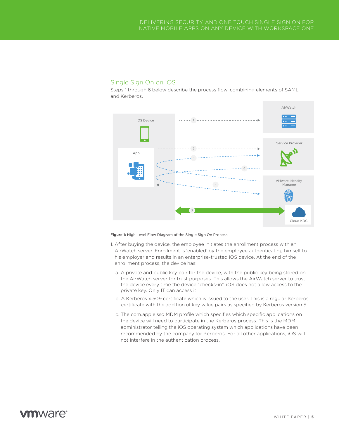### Single Sign On on iOS

Steps 1 through 6 below describe the process flow, combining elements of SAML and Kerberos.



Figure 1: High Level Flow Diagram of the Single Sign On Process

- 1. After buying the device, the employee initiates the enrollment process with an AirWatch server. Enrollment is 'enabled' by the employee authenticating himself to his employer and results in an enterprise-trusted iOS device. At the end of the enrollment process, the device has:
	- a. A private and public key pair for the device, with the public key being stored on the AirWatch server for trust purposes. This allows the AirWatch server to trust the device every time the device "checks-in". iOS does not allow access to the private key. Only IT can access it.
	- b. A Kerberos x.509 certificate which is issued to the user. This is a regular Kerberos certificate with the addition of key value pairs as specified by Kerberos version 5.
	- c. The com.apple.sso MDM profile which specifies which specific applications on the device will need to participate in the Kerberos process. This is the MDM administrator telling the iOS operating system which applications have been recommended by the company for Kerberos. For all other applications, iOS will not interfere in the authentication process.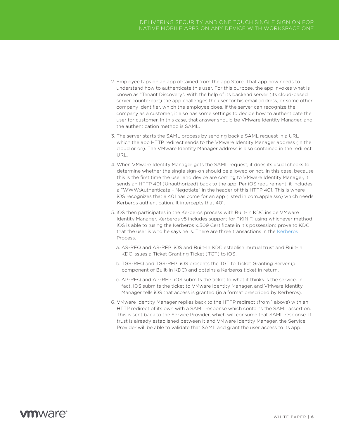- 2. Employee taps on an app obtained from the app Store. That app now needs to understand how to authenticate this user. For this purpose, the app invokes what is known as "Tenant Discovery". With the help of its backend server (its cloud-based server counterpart) the app challenges the user for his email address, or some other company identifier, which the employee does. If the server can recognize the company as a customer, it also has some settings to decide how to authenticate the user for customer. In this case, that answer should be VMware Identity Manager, and the authentication method is SAML.
- 3. The server starts the SAML process by sending back a SAML request in a URL which the app HTTP redirect sends to the VMware Identity Manager address (in the cloud or on). The VMware Identity Manager address is also contained in the redirect URL.
- 4. When VMware Identity Manager gets the SAML request, it does its usual checks to determine whether the single sign-on should be allowed or not. In this case, because this is the first time the user and device are coming to VMware Identity Manager, it sends an HTTP 401 (Unauthorized) back to the app. Per iOS requirement, it includes a "WWW:Authenticate – Negotiate" in the header of this HTTP 401. This is where iOS recognizes that a 401 has come for an app (listed in com.apple.sso) which needs Kerberos authentication. It intercepts that 401.
- 5. iOS then participates in the Kerberos process with Built-In KDC inside VMware Identity Manager. Kerberos v5 includes support for PKINIT, using whichever method iOS is able to (using the Kerberos x.509 Certificate in it's possession) prove to KDC that the user is who he says he is. There are three transactions in the [Kerberos](https://www.ietf.org/rfc/rfc4120.txt) Process.
	- a. AS-REQ and AS-REP: iOS and Built-In KDC establish mutual trust and Built-In KDC issues a Ticket Granting Ticket (TGT) to iOS.
	- b. TGS-REQ and TGS-REP: iOS presents the TGT to Ticket Granting Server (a component of Built-In KDC) and obtains a Kerberos ticket in return.
	- c. AP-REQ and AP-REP: iOS submits the ticket to what it thinks is the service. In fact, iOS submits the ticket to VMware Identity Manager, and VMware Identity Manager tells iOS that access is granted (in a format prescribed by Kerberos).
- 6. VMware Identity Manager replies back to the HTTP redirect (from 1 above) with an HTTP redirect of its own with a SAML response which contains the SAML assertion. This is sent back to the Service Provider, which will consume that SAML response. If trust is already established between it and VMware Identity Manager, the Service Provider will be able to validate that SAML and grant the user access to its app.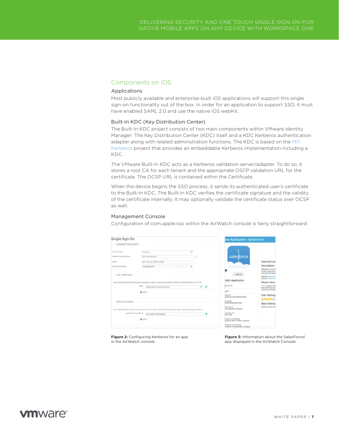### Components on iOS

#### Applications

Most publicly available and enterprise-built iOS applications will support this single sign-on functionality out of the box. In order for an application to support SSO, it must have enabled SAML 2.0 and use the native iOS webKit.

### Built-In KDC (Key Distribution Center)

The Built-In KDC project consists of two main components within VMware Identity Manager: The Key Distribution Center (KDC) itself and a KDC Kerberos authentication adapter along with related administration functions. The KDC is based on the [MIT](http://web.mit.edu/kerberos/)  [Kerberos](http://web.mit.edu/kerberos/) project that provides an embeddable Kerberos implementation including a KDC.

The VMware Built-In KDC acts as a Kerberos validation server/adapter. To do so, it stores a root CA for each tenant and the appropriate OSCP validation URL for the certificate. The OCSP URL is contained within the Certificate.

When the device begins the SSO process, it sends its authenticated user's certificate to the Built-In KDC. The Built-In KDC verifies the certificate signature and the validity of the certificate internally. It may optionally validate the certificate status over OCSP as well.

#### Management Console

Configuration of com.apple.sso within the AirWatch console is fairly straightforward.

| Single Sign-On                                                                 |                                                                                                                                                                           |    |                                         | lew Application - Salesforce1                                                       |  |
|--------------------------------------------------------------------------------|---------------------------------------------------------------------------------------------------------------------------------------------------------------------------|----|-----------------------------------------|-------------------------------------------------------------------------------------|--|
| CONNECTION INFO                                                                |                                                                                                                                                                           |    |                                         |                                                                                     |  |
| Account Name<br>Kerberry Principal Name<br>Asalm<br><b>Renewal Certificate</b> | Kerberos<br>(EnrolmentUser)<br>SVC-TM-HS-TRONT.COM<br>Certificate #1                                                                                                      | 図  | salesforce                              | Internal Com<br>Description<br>Salesforce! is a bit                                 |  |
| <b>URL PREFIXES</b>                                                            |                                                                                                                                                                           |    | ×<br><b>Upload</b><br>ublic Application | modern experience<br>through the Salesh<br>website: https://e<br>Support: Noos //ww |  |
|                                                                                | List of URLs preflues that must be matched in order to use this account for Kerberos authentication over HTTP.<br>LIRL s.<br>https://syo-tm.hs.trcint.com<br><b>Q</b> Add | 天黑 | <b>Active</b><br>ppla                   | What's New<br>7.3.3 · Supports IPF<br>Microsoft Excel, 16<br>swiping the header     |  |

**Figure 2:** Configuring Kerberos for an app in the AirWatch console

**Figure 3:** Information about the SalesForce1 app displayed in the AirWatch Console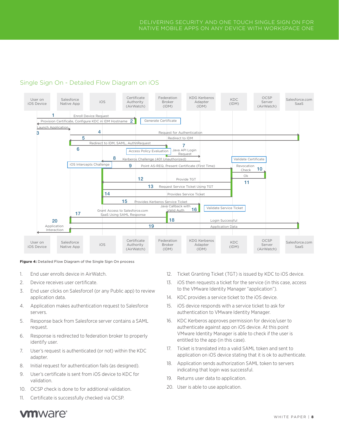### Single Sign On - Detailed Flow Diagram on iOS



#### **Figure 4:** Detailed Flow Diagram of the Single Sign On process

- 1. End user enrolls device in AirWatch.
- 2. Device receives user certificate.
- 3. End user clicks on Salesforce1 (or any Public app) to review application data.
- 4. Application makes authentication request to Salesforce servers.
- 5. Response back from Salesforce server contains a SAML request.
- 6. Response is redirected to federation broker to properly identify user.
- 7. User's request is authenticated (or not) within the KDC adapter.
- 8. Initial request for authentication fails (as designed).
- 9. User's certificate is sent from iOS device to KDC for validation.
- 10. OCSP check is done to for additional validation.
- 11. Certificate is successfully checked via OCSP.
- 12. Ticket Granting Ticket (TGT) is issued by KDC to iOS device.
- 13. iOS then requests a ticket for the service (in this case, access to the VMware Identity Manager "application").
- 14. KDC provides a service ticket to the iOS device.
- 15. iOS device responds with a service ticket to ask for authentication to VMware Identity Manager.
- 16. KDC Kerberos approves permission for device/user to authenticate against app on iOS device. At this point VMware Identity Manager is able to check if the user is entitled to the app (in this case).
- 17. Ticket is translated into a valid SAML token and sent to application on iOS device stating that it is ok to authenticate.
- 18. Application sends authorization SAML token to servers indicating that login was successful.
- 19. Returns user data to application.
- 20. User is able to use application.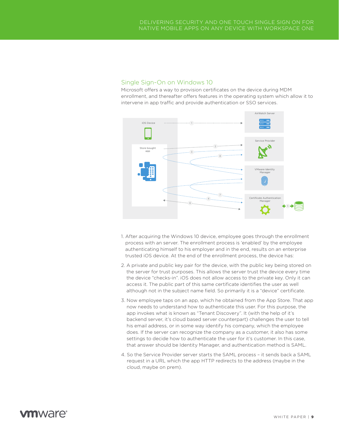### Single Sign-On on Windows 10

Microsoft offers a way to provision certificates on the device during MDM enrollment, and thereafter offers features in the operating system which allow it to intervene in app traffic and provide authentication or SSO services.



- 1. After acquiring the Windows 10 device, employee goes through the enrollment process with an server. The enrollment process is 'enabled' by the employee authenticating himself to his employer and in the end, results on an enterprise trusted iOS device. At the end of the enrollment process, the device has:
- 2. A private and public key pair for the device, with the public key being stored on the server for trust purposes. This allows the server trust the device every time the device "checks-in". iOS does not allow access to the private key. Only it can access it. The public part of this same certificate identifies the user as well although not in the subject name field. So primarily it is a "device" certificate.
- 3. Now employee taps on an app, which he obtained from the App Store. That app now needs to understand how to authenticate this user. For this purpose, the app invokes what is known as "Tenant Discovery". It (with the help of it's backend server, it's cloud based server counterpart) challenges the user to tell his email address, or in some way identify his company, which the employee does. If the server can recognize the company as a customer, it also has some settings to decide how to authenticate the user for it's customer. In this case, that answer should be Identity Manager, and authentication method is SAML.
- 4. So the Service Provider server starts the SAML process it sends back a SAML request in a URL which the app HTTP redirects to the address (maybe in the cloud, maybe on prem).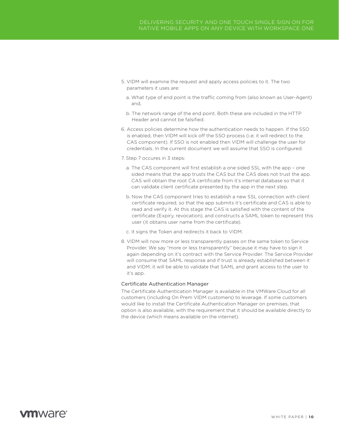- 5. VIDM will examine the request and apply access policies to it. The two parameters it uses are:
	- a. What type of end point is the traffic coming from (also known as User-Agent) and,
	- b. The network range of the end point. Both these are included in the HTTP Header and cannot be falsified.
- 6. Access policies determine how the authentication needs to happen. If the SSO is enabled, then VIDM will kick off the SSO process (i.e; it will redirect to the CAS component). If SSO is not enabled then VIDM will challenge the user for credentials. In the current document we will assume that SSO is configured.
- 7. Step 7 occures in 3 steps:
	- a. The CAS component will first establish a one sided SSL with the app one sided means that the app trusts the CAS but the CAS does not trust the app. CAS will obtain the root CA certificate from it's internal database so that it can validate client certificate presented by the app in the next step.
	- b. Now the CAS component tries to establish a new SSL connection with client certificate required, so that the app submits it's certificate and CAS is able to read and verify it. At this stage the CAS is satisfied with the content of the certificate (Expiry, revocation), and constructs a SAML token to represent this user (it obtains user name from the certificate).
	- c. It signs the Token and redirects it back to VIDM.
- 8. VIDM will now more or less transparently passes on the same token to Service Provider. We say "more or less transparently" because it may have to sign it again depending on it's contract with the Service Provider. The Service Provider will consume that SAML response and if trust is already established between it and VIDM, it will be able to validate that SAML and grant access to the user to it's app.

#### Certificate Authentication Manager

The Certificate Authentication Manager is available in the VMWare Cloud for all customers (including On Prem VIDM customers) to leverage. If some customers would like to install the Certificate Authentication Manager on premises, that option is also available, with the requirement that it should be available directly to the device (which means available on the internet).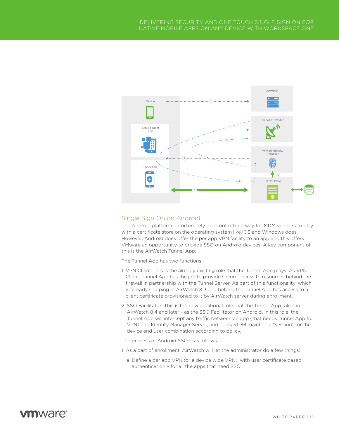

### Single Sign On on Android

The Android platform unfortunately does not offer a way for MDM vendors to play with a certificate store on the operating system like iOS and Windows does. However, Android does offer the per app VPN facility to an app and this offers VMware an opportunity to provide SSO on Android devices. A key component of this is the AirWatch Tunnel App.

The Tunnel App has two functions –

- 1. VPN Client: This is the already existing role that the Tunnel App plays. As VPN Client, Tunnel App has the job to provide secure access to resources behind the firewall in partnership with the Tunnel Server. As part of this functionality, which is already shipping in AirWatch 8.3 and before, the Tunnel App has access to a client certificate provisioned to it by AirWatch server during enrollment.
- 2. SSO Facilitator: This is the new additional role that the Tunnel App takes in AirWatch 8.4 and later - as the SSO Facilitator on Android. In this role, the Tunnel App will intercept any traffic between an app (that needs Tunnel App for VPN) and Identity Manager Server, and helps VIDM maintain a "session" for the device and user combination according to policy.

The process of Android SSO is as follows:

- 1. As a part of enrollment, AirWatch will let the administrator do a few things:
	- a. Define a per app VPN (or a device wide VPN), with user certificate based authentication – for all the apps that need SSO.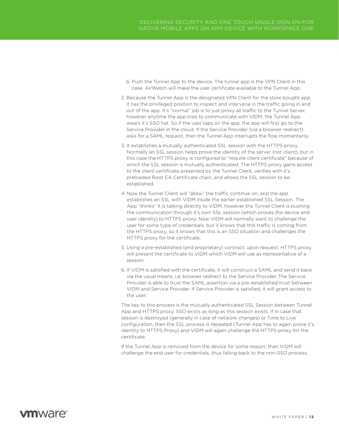- b. Push the Tunnel App to the device. The tunnel app is the VPN Client in this case. AirWatch will make the user certificate available to the Tunnel App.
- 2. Because the Tunnel App is the designated VPN Client for the store bought app, it has the privileged position to inspect and intervene in the traffic going in and out of the app. It's "normal" job is to just proxy all traffic to the Tunnel Server, however anytime the app tries to communicate with VIDM, the Tunnel App wears it's SSO hat. So if the user taps on the app, the app will first go to the Service Provider in the cloud. If the Service Provider (via a browser redirect) asks for a SAML request, then the Tunnel App interrupts the flow momentarily.
- 3. It establishes a mutually authenticated SSL session with the HTTPS proxy. Normally an SSL session helps prove the identity of the server (not client), but in this case the HTTPS proxy is configured to "require client certificate" because of which the SSL session is mutually authenticated. The HTTPS proxy gains access to the client certificate presented by the Tunnel Client, verifies with it's preloaded Root CA Certificate chain, and allows the SSL session to be established.
- 4. Now the Tunnel Client will "allow" the traffic continue on, and the app establishes an SSL with VIDM inside the earlier established SSL Session. The App "thinks" it is talking directly to VIDM, however the Tunnel Client is pushing the communication through it's own SSL session (which proves the device and user identity) to HTTPS proxy. Now VIDM will normally want to challenge the user for some type of credentials, but it knows that this traffic is coming from the HTTPS proxy, so it knows that this is an SSO situation and challenges the HTTPS proxy for the certificate.
- 5. Using a pre-established (and proprietary) contract, upon request, HTTPS proxy will present the certificate to VIDM which VIDM will use as representative of a session.
- 6. If VIDM is satisfied with the certificate, it will construct a SAML and send it back via the usual means, i.e; browser redirect to the Service Provider. The Service Provider is able to trust the SAML assertion via a pre-established trust between VIDM and Service Provider. If Service Provider is satisfied, it will grant access to the user.

The key to this process is the mutually authenticated SSL Session between Tunnel App and HTTPS proxy. SSO exists as long as this session exists. If in case that session is destroyed (generally in case of network changes) or Time to Live configuration, then the SSL process is repeated (Tunnel App has to again prove it's identity to HTTPS Proxy) and VIDM will again challenge the HTTPS proxy for the certificate.

If the Tunnel App is removed from the device for some reason, then VIDM will challenge the end user for credentials, thus falling back to the non-SSO process.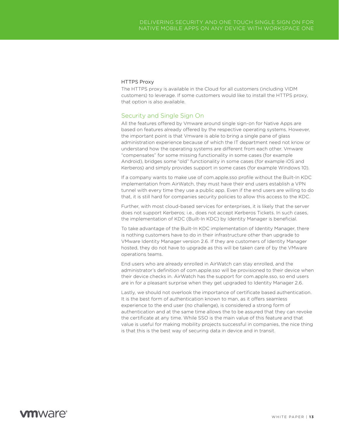#### HTTPS Proxy

The HTTPS proxy is available in the Cloud for all customers (including VIDM customers) to leverage. If some customers would like to install the HTTPS proxy, that option is also available.

### Security and Single Sign On

All the features offered by Vmware around single sign-on for Native Apps are based on features already offered by the respective operating systems. However, the important point is that Vmware is able to bring a single pane of glass administration experience because of which the IT department need not know or understand how the operating systems are different from each other. Vmware "compensates" for some missing functionality in some cases (for example Android), bridges some "old" functionality in some cases (for example iOS and Kerberos) and simply provides support in some cases (for example Windows 10).

If a company wants to make use of com.apple.sso profile without the Built-In KDC implementation from AirWatch, they must have their end users establish a VPN tunnel with every time they use a public app. Even if the end users are willing to do that, it is still hard for companies security policies to allow this access to the KDC.

Further, with most cloud-based services for enterprises, it is likely that the server does not support Kerberos; i.e., does not accept Kerberos Tickets. In such cases, the implementation of KDC (Built-In KDC) by Identity Manager is beneficial.

To take advantage of the Built-In KDC implementation of Identity Manager, there is nothing customers have to do in their infrastructure other than upgrade to VMware Identity Manager version 2.6. If they are customers of Identity Manager hosted, they do not have to upgrade as this will be taken care of by the VMware operations teams.

End users who are already enrolled in AirWatch can stay enrolled, and the administrator's definition of com.apple.sso will be provisioned to their device when their device checks in. AirWatch has the support for com.apple.sso, so end users are in for a pleasant surprise when they get upgraded to Identity Manager 2.6.

Lastly, we should not overlook the importance of certificate based authentication. It is the best form of authentication known to man, as it offers seamless experience to the end user (no challenge), is considered a strong form of authentication and at the same time allows the to be assured that they can revoke the certificate at any time. While SSO is the main value of this feature and that value is useful for making mobility projects successful in companies, the nice thing is that this is the best way of securing data in device and in transit.